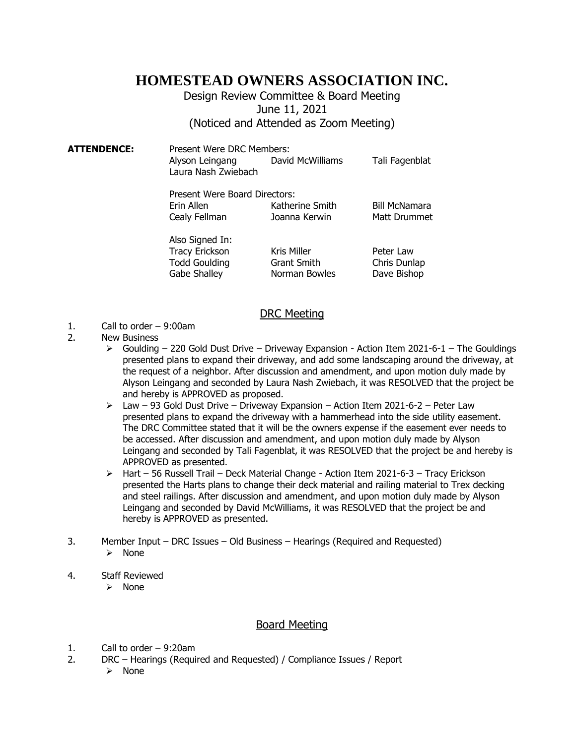## **HOMESTEAD OWNERS ASSOCIATION INC.**

## Design Review Committee & Board Meeting June 11, 2021 (Noticed and Attended as Zoom Meeting)

**ATTENDENCE:** Present Were DRC Members: Alyson Leingang David McWilliams Tali Fagenblat Laura Nash Zwiebach

| Present Were Board Directors: |                 |                      |
|-------------------------------|-----------------|----------------------|
| Erin Allen                    | Katherine Smith | <b>Bill McNamara</b> |
| Cealy Fellman                 | Joanna Kerwin   | <b>Matt Drummet</b>  |

| Also Signed In:       |                    |              |
|-----------------------|--------------------|--------------|
| <b>Tracy Erickson</b> | Kris Miller        | Peter Law    |
| <b>Todd Goulding</b>  | <b>Grant Smith</b> | Chris Dunlap |
| Gabe Shalley          | Norman Bowles      | Dave Bishop  |
|                       |                    |              |

## DRC Meeting

- 1. Call to order 9:00am
- 2. New Business
	- $\triangleright$  Goulding 220 Gold Dust Drive Driveway Expansion Action Item 2021-6-1 The Gouldings presented plans to expand their driveway, and add some landscaping around the driveway, at the request of a neighbor. After discussion and amendment, and upon motion duly made by Alyson Leingang and seconded by Laura Nash Zwiebach, it was RESOLVED that the project be and hereby is APPROVED as proposed.
	- $\geq$  Law 93 Gold Dust Drive Driveway Expansion Action Item 2021-6-2 Peter Law presented plans to expand the driveway with a hammerhead into the side utility easement. The DRC Committee stated that it will be the owners expense if the easement ever needs to be accessed. After discussion and amendment, and upon motion duly made by Alyson Leingang and seconded by Tali Fagenblat, it was RESOLVED that the project be and hereby is APPROVED as presented.
	- $\triangleright$  Hart 56 Russell Trail Deck Material Change Action Item 2021-6-3 Tracy Erickson presented the Harts plans to change their deck material and railing material to Trex decking and steel railings. After discussion and amendment, and upon motion duly made by Alyson Leingang and seconded by David McWilliams, it was RESOLVED that the project be and hereby is APPROVED as presented.
- 3. Member Input DRC Issues Old Business Hearings (Required and Requested)
	- ➢ None
- 4. Staff Reviewed
	- ➢ None

## Board Meeting

- 1. Call to order 9:20am
- 2. DRC Hearings (Required and Requested) / Compliance Issues / Report
	- ➢ None